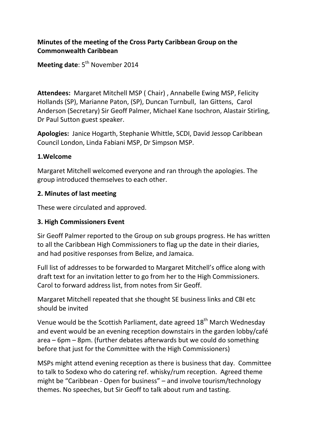# **Minutes of the meeting of the Cross Party Caribbean Group on the Commonwealth Caribbean**

# **Meeting date**: 5<sup>th</sup> November 2014

**Attendees:** Margaret Mitchell MSP ( Chair) , Annabelle Ewing MSP, Felicity Hollands (SP), Marianne Paton, (SP), Duncan Turnbull, Ian Gittens, Carol Anderson (Secretary) Sir Geoff Palmer, Michael Kane Isochron, Alastair Stirling, Dr Paul Sutton guest speaker.

**Apologies:** Janice Hogarth, Stephanie Whittle, SCDI, David Jessop Caribbean Council London, Linda Fabiani MSP, Dr Simpson MSP.

## **1.Welcome**

Margaret Mitchell welcomed everyone and ran through the apologies. The group introduced themselves to each other.

## **2. Minutes of last meeting**

These were circulated and approved.

## **3. High Commissioners Event**

Sir Geoff Palmer reported to the Group on sub groups progress. He has written to all the Caribbean High Commissioners to flag up the date in their diaries, and had positive responses from Belize, and Jamaica.

Full list of addresses to be forwarded to Margaret Mitchell's office along with draft text for an invitation letter to go from her to the High Commissioners. Carol to forward address list, from notes from Sir Geoff.

Margaret Mitchell repeated that she thought SE business links and CBI etc should be invited

Venue would be the Scottish Parliament, date agreed 18<sup>th</sup> March Wednesday and event would be an evening reception downstairs in the garden lobby/café area – 6pm – 8pm. (further debates afterwards but we could do something before that just for the Committee with the High Commissioners)

MSPs might attend evening reception as there is business that day. Committee to talk to Sodexo who do catering ref. whisky/rum reception. Agreed theme might be "Caribbean - Open for business" – and involve tourism/technology themes. No speeches, but Sir Geoff to talk about rum and tasting.